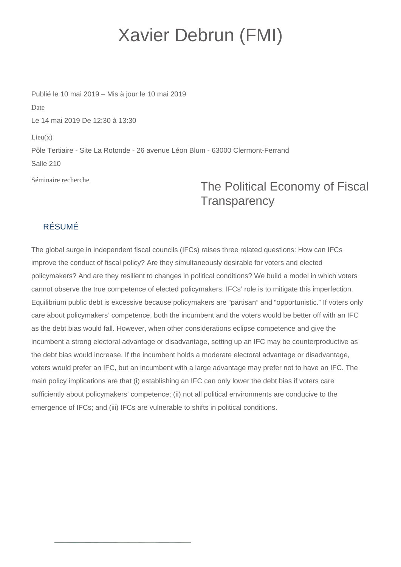## Xavier Debrun (FMI)

Publié le 10 mai 2019 – Mis à jour le 10 mai 2019 Date Le 14 mai 2019 De 12:30 à 13:30  $Lieu(x)$ Pôle Tertiaire - Site La Rotonde - 26 avenue Léon Blum - 63000 Clermont-Ferrand Salle 210

Séminaire recherche

## The Political Economy of Fiscal **Transparency**

## RÉSUMÉ

The global surge in independent fiscal councils (IFCs) raises three related questions: How can IFCs improve the conduct of fiscal policy? Are they simultaneously desirable for voters and elected policymakers? And are they resilient to changes in political conditions? We build a model in which voters cannot observe the true competence of elected policymakers. IFCs' role is to mitigate this imperfection. Equilibrium public debt is excessive because policymakers are "partisan" and "opportunistic." If voters only care about policymakers' competence, both the incumbent and the voters would be better off with an IFC as the debt bias would fall. However, when other considerations eclipse competence and give the incumbent a strong electoral advantage or disadvantage, setting up an IFC may be counterproductive as the debt bias would increase. If the incumbent holds a moderate electoral advantage or disadvantage, voters would prefer an IFC, but an incumbent with a large advantage may prefer not to have an IFC. The main policy implications are that (i) establishing an IFC can only lower the debt bias if voters care sufficiently about policymakers' competence; (ii) not all political environments are conducive to the emergence of IFCs; and (iii) IFCs are vulnerable to shifts in political conditions.